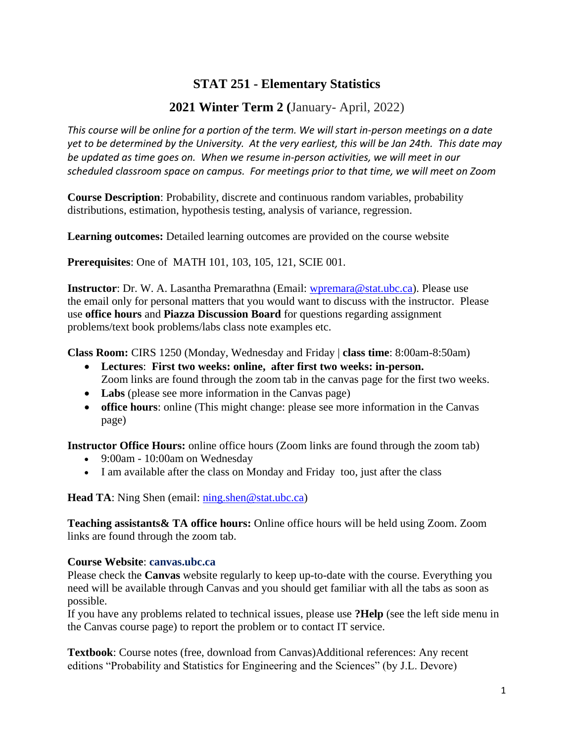# **STAT 251 - Elementary Statistics**

# **2021 Winter Term 2 (**January- April, 2022)

*This course will be online for a portion of the term. We will start in-person meetings on a date yet to be determined by the University. At the very earliest, this will be Jan 24th. This date may be updated as time goes on. When we resume in-person activities, we will meet in our scheduled classroom space on campus. For meetings prior to that time, we will meet on Zoom*

**Course Description**: Probability, discrete and continuous random variables, probability distributions, estimation, hypothesis testing, analysis of variance, regression.

**Learning outcomes:** Detailed learning outcomes are provided on the course website

**Prerequisites**: One of MATH 101, 103, 105, 121, SCIE 001.

**Instructor**: Dr. W. A. Lasantha Premarathna (Email: [wpremara@stat.ubc.ca\)](mailto:wpremara@stat.ubc.ca). Please use the email only for personal matters that you would want to discuss with the instructor. Please use **office hours** and **Piazza Discussion Board** for questions regarding assignment problems/text book problems/labs class note examples etc.

**Class Room:** CIRS 1250 (Monday, Wednesday and Friday | **class time**: 8:00am-8:50am)

- **Lectures**: **First two weeks: online, after first two weeks: in-person.** Zoom links are found through the zoom tab in the canvas page for the first two weeks.
- Labs (please see more information in the Canvas page)
- **office hours**: online (This might change: please see more information in the Canvas page)

**Instructor Office Hours:** online office hours (Zoom links are found through the zoom tab)

- 9:00am 10:00am on Wednesday
- I am available after the class on Monday and Friday too, just after the class

**Head TA**: Ning Shen (email: [ning.shen@stat.ubc.ca\)](mailto:ning.shen@stat.ubc.ca)

**Teaching assistants& TA office hours:** Online office hours will be held using Zoom. Zoom links are found through the zoom tab.

## **Course Website**: **canvas.ubc.ca**

Please check the **Canvas** website regularly to keep up-to-date with the course. Everything you need will be available through Canvas and you should get familiar with all the tabs as soon as possible.

If you have any problems related to technical issues, please use **?Help** (see the left side menu in the Canvas course page) to report the problem or to contact IT service.

**Textbook**: Course notes (free, download from Canvas)Additional references: Any recent editions "Probability and Statistics for Engineering and the Sciences" (by J.L. Devore)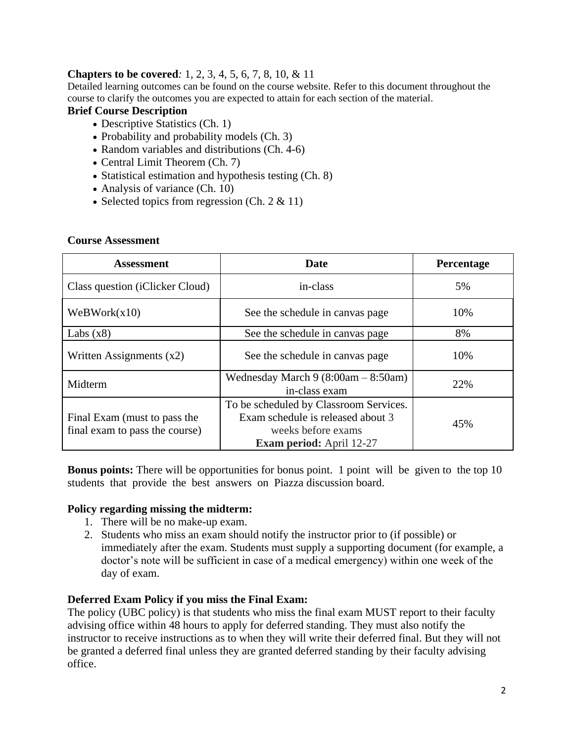## **Chapters to be covered***:* 1, 2, 3, 4, 5, 6, 7, 8, 10, & 11

Detailed learning outcomes can be found on the course website. Refer to this document throughout the course to clarify the outcomes you are expected to attain for each section of the material.

## **Brief Course Description**

- Descriptive Statistics (Ch. 1)
- Probability and probability models  $(Ch. 3)$
- Random variables and distributions (Ch. 4-6)
- Central Limit Theorem (Ch. 7)
- Statistical estimation and hypothesis testing (Ch. 8)
- Analysis of variance (Ch. 10)
- Selected topics from regression (Ch.  $2 \& 11$ )

### **Course Assessment**

| <b>Assessment</b>                                              | Date                                                                                                                                 | Percentage |
|----------------------------------------------------------------|--------------------------------------------------------------------------------------------------------------------------------------|------------|
| Class question (iClicker Cloud)                                | in-class                                                                                                                             | 5%         |
| WebWork(x10)                                                   | See the schedule in canvas page                                                                                                      | 10%        |
| Labs $(x8)$                                                    | See the schedule in canvas page                                                                                                      | 8%         |
| Written Assignments $(x2)$                                     | See the schedule in canvas page                                                                                                      | 10%        |
| Midterm                                                        | Wednesday March $9(8:00am - 8:50am)$<br>in-class exam                                                                                | 22%        |
| Final Exam (must to pass the<br>final exam to pass the course) | To be scheduled by Classroom Services.<br>Exam schedule is released about 3<br>weeks before exams<br><b>Exam period:</b> April 12-27 | 45%        |

**Bonus points:** There will be opportunities for bonus point. 1 point will be given to the top 10 students that provide the best answers on Piazza discussion board.

## **Policy regarding missing the midterm:**

- 1. There will be no make-up exam.
- 2. Students who miss an exam should notify the instructor prior to (if possible) or immediately after the exam. Students must supply a supporting document (for example, a doctor's note will be sufficient in case of a medical emergency) within one week of the day of exam.

## **Deferred Exam Policy if you miss the Final Exam:**

The policy (UBC policy) is that students who miss the final exam MUST report to their faculty advising office within 48 hours to apply for deferred standing. They must also notify the instructor to receive instructions as to when they will write their deferred final. But they will not be granted a deferred final unless they are granted deferred standing by their faculty advising office.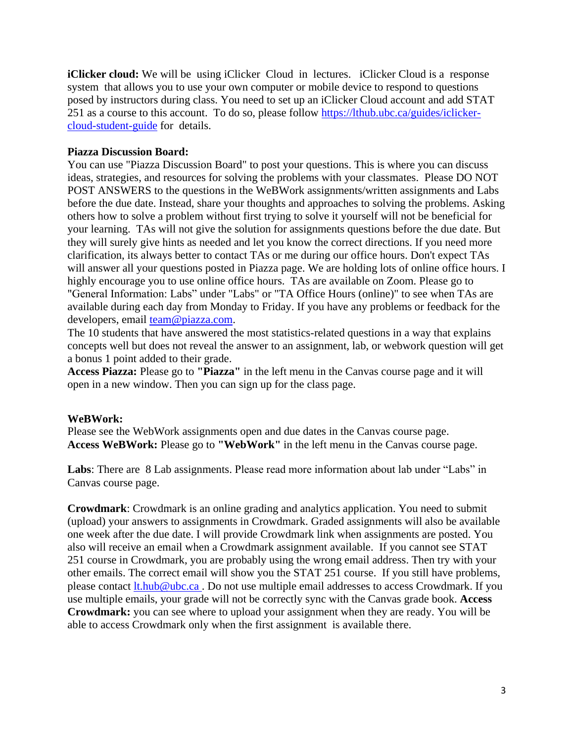**iClicker cloud:** We will be using iClicker Cloud in lectures. *iClicker Cloud is a response* system that allows you to use your own computer or mobile device to respond to questions posed by instructors during class. You need to set up an iClicker Cloud account and add STAT 251 as a course to this account. To do so, please follow [https://lthub.ubc.ca/guides/iclicker](https://lthub.ubc.ca/guides/iclicker-cloud-student-guide)[cloud-student-guide](https://lthub.ubc.ca/guides/iclicker-cloud-student-guide) for details.

### **Piazza Discussion Board:**

You can use "Piazza Discussion Board" to post your questions. This is where you can discuss ideas, strategies, and resources for solving the problems with your classmates. Please DO NOT POST ANSWERS to the questions in the WeBWork assignments/written assignments and Labs before the due date. Instead, share your thoughts and approaches to solving the problems. Asking others how to solve a problem without first trying to solve it yourself will not be beneficial for your learning. TAs will not give the solution for assignments questions before the due date. But they will surely give hints as needed and let you know the correct directions. If you need more clarification, its always better to contact TAs or me during our office hours. Don't expect TAs will answer all your questions posted in Piazza page. We are holding lots of online office hours. I highly encourage you to use online office hours. TAs are available on Zoom. Please go to "General Information: Labs" under "Labs" or "TA Office Hours (online)" to see when TAs are available during each day from Monday to Friday. If you have any problems or feedback for the developers, email [team@piazza.com.](mailto:team@piazza.com)

The 10 students that have answered the most statistics-related questions in a way that explains concepts well but does not reveal the answer to an assignment, lab, or webwork question will get a bonus 1 point added to their grade.

**Access Piazza:** Please go to **"Piazza"** in the left menu in the Canvas course page and it will open in a new window. Then you can sign up for the class page.

### **WeBWork:**

Please see the WebWork assignments open and due dates in the Canvas course page. **Access WeBWork:** Please go to **"WebWork"** in the left menu in the Canvas course page.

**Labs**: There are 8 Lab assignments. Please read more information about lab under "Labs" in Canvas course page.

**Crowdmark**: Crowdmark is an online grading and analytics application. You need to submit (upload) your answers to assignments in Crowdmark. Graded assignments will also be available one week after the due date. I will provide Crowdmark link when assignments are posted. You also will receive an email when a Crowdmark assignment available. If you cannot see STAT 251 course in Crowdmark, you are probably using the wrong email address. Then try with your other emails. The correct email will show you the STAT 251 course. If you still have problems, please contact [lt.hub@ubc.ca](mailto:lt.hub@ubc.ca) . Do not use multiple email addresses to access Crowdmark. If you use multiple emails, your grade will not be correctly sync with the Canvas grade book. **Access Crowdmark:** you can see where to upload your assignment when they are ready. You will be able to access Crowdmark only when the first assignment is available there.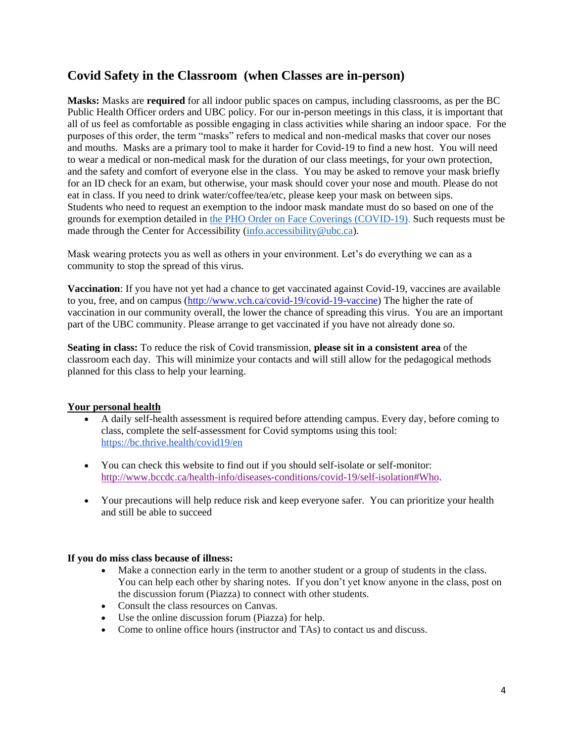# **Covid Safety in the Classroom (when Classes are in-person)**

**Masks:** Masks are **required** for all indoor public spaces on campus, including classrooms, as per the BC Public Health Officer orders and UBC policy. For our in-person meetings in this class, it is important that all of us feel as comfortable as possible engaging in class activities while sharing an indoor space. For the purposes of this order, the term "masks" refers to medical and non-medical masks that cover our noses and mouths. Masks are a primary tool to make it harder for Covid-19 to find a new host. You will need to wear a medical or non-medical mask for the duration of our class meetings, for your own protection, and the safety and comfort of everyone else in the class. You may be asked to remove your mask briefly for an ID check for an exam, but otherwise, your mask should cover your nose and mouth. Please do not eat in class. If you need to drink water/coffee/tea/etc, please keep your mask on between sips. Students who need to request an exemption to the indoor mask mandate must do so based on one of the grounds for exemption detailed in [the PHO Order on Face Coverings \(COVID-19\).](https://www2.gov.bc.ca/assets/gov/health/about-bc-s-health-care-system/office-of-the-provincial-health-officer/covid-19/covid-19-pho-order-face-coverings.pdf) Such requests must be made through the Center for Accessibility (info.accessibility@ubc.ca).

Mask wearing protects you as well as others in your environment. Let's do everything we can as a community to stop the spread of this virus.

**Vaccination**: If you have not yet had a chance to get vaccinated against Covid-19, vaccines are available to you, free, and on campus [\(http://www.vch.ca/covid-19/covid-19-vaccine\)](http://www.vch.ca/covid-19/covid-19-vaccine) The higher the rate of vaccination in our community overall, the lower the chance of spreading this virus. You are an important part of the UBC community. Please arrange to get vaccinated if you have not already done so.

**Seating in class:** To reduce the risk of Covid transmission, **please sit in a consistent area** of the classroom each day. This will minimize your contacts and will still allow for the pedagogical methods planned for this class to help your learning.

## **Your personal health**

- A daily self-health assessment is required before attending campus. Every day, before coming to class, complete the self-assessment for Covid symptoms using this tool[:](https://bc.thrive.health/covid19/en) <https://bc.thrive.health/covid19/en>
- You can check this website to find out if you should self-isolate or self-monitor: [http://www.bccdc.ca/health-info/diseases-conditions/covid-19/self-isolation#Who.](http://www.bccdc.ca/health-info/diseases-conditions/covid-19/self-isolation#Who)
- Your precautions will help reduce risk and keep everyone safer. You can prioritize your health and still be able to succeed

### **If you do miss class because of illness:**

- Make a connection early in the term to another student or a group of students in the class. You can help each other by sharing notes. If you don't yet know anyone in the class, post on the discussion forum (Piazza) to connect with other students.
- Consult the class resources on Canvas.
- Use the online discussion forum (Piazza) for help.
- Come to online office hours (instructor and TAs) to contact us and discuss.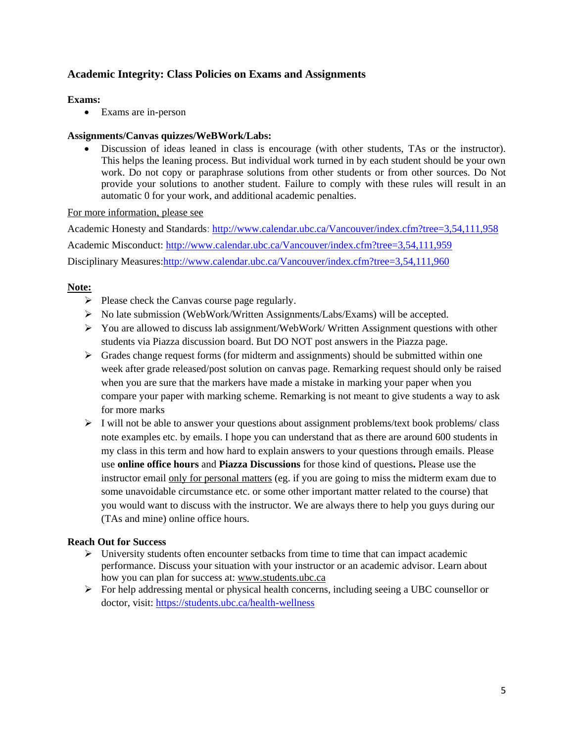## **Academic Integrity: Class Policies on Exams and Assignments**

### **Exams:**

Exams are in-person

### **Assignments/Canvas quizzes/WeBWork/Labs:**

 Discussion of ideas leaned in class is encourage (with other students, TAs or the instructor). This helps the leaning process. But individual work turned in by each student should be your own work. Do not copy or paraphrase solutions from other students or from other sources. Do Not provide your solutions to another student. Failure to comply with these rules will result in an automatic 0 for your work, and additional academic penalties.

### For more information, please see

Academic Honesty and Standards:<http://www.calendar.ubc.ca/Vancouver/index.cfm?tree=3,54,111,958> Academic Misconduct:<http://www.calendar.ubc.ca/Vancouver/index.cfm?tree=3,54,111,959> Disciplinary Measures[:http://www.calendar.ubc.ca/Vancouver/index.cfm?tree=3,54,111,960](http://www.calendar.ubc.ca/Vancouver/index.cfm?tree=3,54,111,960)

### **Note:**

- $\triangleright$  Please check the Canvas course page regularly.
- No late submission (WebWork/Written Assignments/Labs/Exams) will be accepted.
- $\triangleright$  You are allowed to discuss lab assignment/WebWork/ Written Assignment questions with other students via Piazza discussion board. But DO NOT post answers in the Piazza page.
- $\triangleright$  Grades change request forms (for midterm and assignments) should be submitted within one week after grade released/post solution on canvas page. Remarking request should only be raised when you are sure that the markers have made a mistake in marking your paper when you compare your paper with marking scheme. Remarking is not meant to give students a way to ask for more marks
- $\triangleright$  I will not be able to answer your questions about assignment problems/text book problems/ class note examples etc. by emails. I hope you can understand that as there are around 600 students in my class in this term and how hard to explain answers to your questions through emails. Please use **online office hours** and **Piazza Discussions** for those kind of questions**.** Please use the instructor email only for personal matters (eg. if you are going to miss the midterm exam due to some unavoidable circumstance etc. or some other important matter related to the course) that you would want to discuss with the instructor. We are always there to help you guys during our (TAs and mine) online office hours.

## **Reach Out for Success**

- $\triangleright$  University students often encounter setbacks from time to time that can impact academic performance. Discuss your situation with your instructor or an academic advisor. Learn about how you can plan for success at: [www.students.ubc.ca](http://www.students.ubc.ca/)
- $\triangleright$  For help addressing mental or physical health concerns, including seeing a UBC counsellor or doctor, visit:<https://students.ubc.ca/health-wellness>